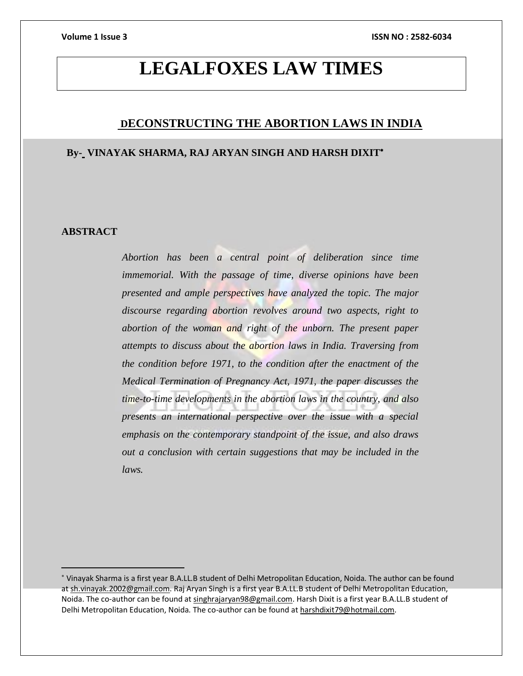## **LEGALFOXES LAW TIMES**

### **DECONSTRUCTING THE ABORTION LAWS IN INDIA**

### **By- VINAYAK SHARMA, RAJ ARYAN SINGH AND HARSH DIXIT**

#### **ABSTRACT**

*Abortion has been a central point of deliberation since time immemorial. With the passage of time, diverse opinions have been presented and ample perspectives have analyzed the topic. The major discourse regarding abortion revolves around two aspects, right to abortion of the woman and right of the unborn. The present paper attempts to discuss about the abortion laws in India. Traversing from the condition before 1971, to the condition after the enactment of the Medical Termination of Pregnancy Act, 1971, the paper discusses the time-to-time developments in the abortion laws in the country, and also presents an international perspective over the issue with a special emphasis on the contemporary standpoint of the issue, and also draws out a conclusion with certain suggestions that may be included in the laws.*

Vinayak Sharma is a first year B.A.LL.B student of Delhi Metropolitan Education, Noida. The author can be found a[t sh.vinayak.2002@gmail.com.](mailto:sh.vinayak.2002@gmail.com) Raj Aryan Singh is a first year B.A.LL.B student of Delhi Metropolitan Education, Noida. The co-author can be found a[t singhrajaryan98@gmail.com.](mailto:singhrajaryan98@gmail.com) Harsh Dixit is a first year B.A.LL.B student of Delhi Metropolitan Education, Noida. The co-author can be found a[t harshdixit79@hotmail.com.](mailto:harshdixit79@hotmail.com)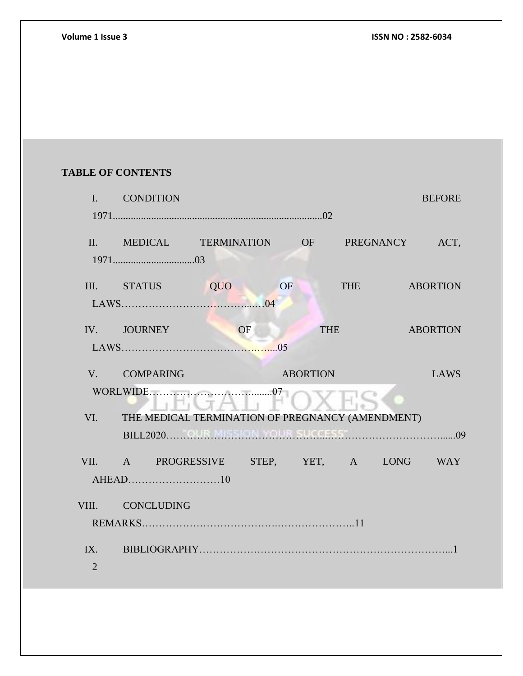### **TABLE OF CONTENTS**

| $\mathbf{I}$ . | <b>CONDITION</b>                                 |    |          |            |            | <b>BEFORE</b>   |
|----------------|--------------------------------------------------|----|----------|------------|------------|-----------------|
|                |                                                  |    |          |            |            |                 |
|                | II. MEDICAL TERMINATION OF PREGNANCY ACT,        |    |          |            |            |                 |
|                | III. STATUS QUO                                  |    | OF       |            | <b>THE</b> | <b>ABORTION</b> |
|                | IV. JOURNEY                                      | OF |          | <b>THE</b> |            | <b>ABORTION</b> |
|                | V. COMPARING                                     |    | ABORTION |            |            | LAWS            |
| VI.            | THE MEDICAL TERMINATION OF PREGNANCY (AMENDMENT) |    |          |            |            |                 |
|                |                                                  |    |          |            |            |                 |
|                | VII. A PROGRESSIVE STEP, YET, A LONG WAY         |    |          |            |            |                 |
|                | VIII. CONCLUDING                                 |    |          |            |            |                 |
|                |                                                  |    |          |            |            |                 |
| $\overline{2}$ |                                                  |    |          |            |            |                 |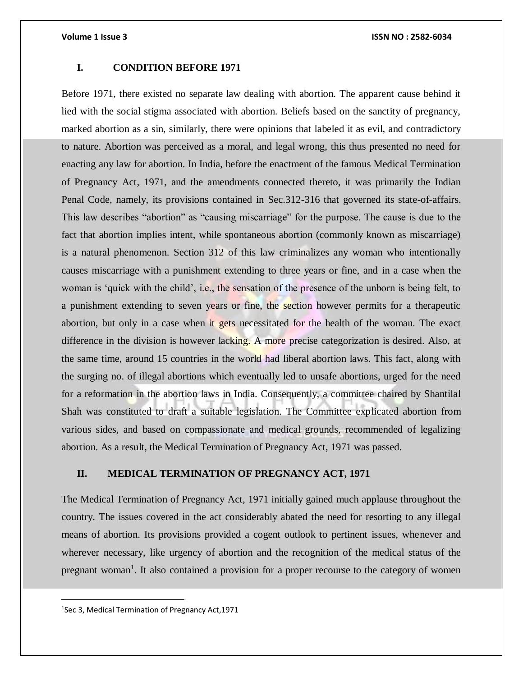#### **I. CONDITION BEFORE 1971**

Before 1971, there existed no separate law dealing with abortion. The apparent cause behind it lied with the social stigma associated with abortion. Beliefs based on the sanctity of pregnancy, marked abortion as a sin, similarly, there were opinions that labeled it as evil, and contradictory to nature. Abortion was perceived as a moral, and legal wrong, this thus presented no need for enacting any law for abortion. In India, before the enactment of the famous Medical Termination of Pregnancy Act, 1971, and the amendments connected thereto, it was primarily the Indian Penal Code, namely, its provisions contained in Sec.312-316 that governed its state-of-affairs. This law describes "abortion" as "causing miscarriage" for the purpose. The cause is due to the fact that abortion implies intent, while spontaneous abortion (commonly known as miscarriage) is a natural phenomenon. Section 312 of this law criminalizes any woman who intentionally causes miscarriage with a punishment extending to three years or fine, and in a case when the woman is 'quick with the child', i.e., the sensation of the presence of the unborn is being felt, to a punishment extending to seven years or fine, the section however permits for a therapeutic abortion, but only in a case when it gets necessitated for the health of the woman. The exact difference in the division is however lacking. A more precise categorization is desired. Also, at the same time, around 15 countries in the world had liberal abortion laws. This fact, along with the surging no. of illegal abortions which eventually led to unsafe abortions, urged for the need for a reformation in the abortion laws in India. Consequently, a committee chaired by Shantilal Shah was constituted to draft a suitable legislation. The Committee explicated abortion from various sides, and based on compassionate and medical grounds, recommended of legalizing abortion. As a result, the Medical Termination of Pregnancy Act, 1971 was passed.

### **II. MEDICAL TERMINATION OF PREGNANCY ACT, 1971**

The Medical Termination of Pregnancy Act, 1971 initially gained much applause throughout the country. The issues covered in the act considerably abated the need for resorting to any illegal means of abortion. Its provisions provided a cogent outlook to pertinent issues, whenever and wherever necessary, like urgency of abortion and the recognition of the medical status of the pregnant woman<sup>1</sup>. It also contained a provision for a proper recourse to the category of women

 $\overline{a}$ 

<sup>&</sup>lt;sup>1</sup>Sec 3, Medical Termination of Pregnancy Act, 1971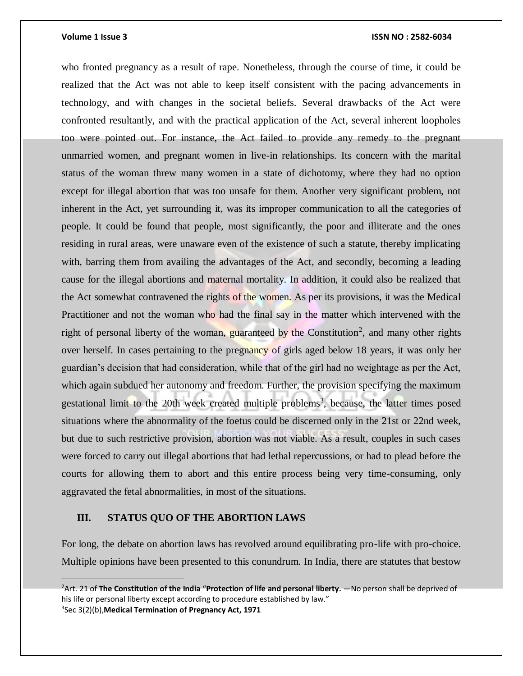#### **Volume 1 Issue 3 ISSN NO : 2582-6034**

who fronted pregnancy as a result of rape. Nonetheless, through the course of time, it could be realized that the Act was not able to keep itself consistent with the pacing advancements in technology, and with changes in the societal beliefs. Several drawbacks of the Act were confronted resultantly, and with the practical application of the Act, several inherent loopholes too were pointed out. For instance, the Act failed to provide any remedy to the pregnant unmarried women, and pregnant women in live-in relationships. Its concern with the marital status of the woman threw many women in a state of dichotomy, where they had no option except for illegal abortion that was too unsafe for them. Another very significant problem, not inherent in the Act, yet surrounding it, was its improper communication to all the categories of people. It could be found that people, most significantly, the poor and illiterate and the ones residing in rural areas, were unaware even of the existence of such a statute, thereby implicating with, barring them from availing the advantages of the Act, and secondly, becoming a leading cause for the illegal abortions and maternal mortality. In addition, it could also be realized that the Act somewhat contravened the rights of the women. As per its provisions, it was the Medical Practitioner and not the woman who had the final say in the matter which intervened with the right of personal liberty of the woman, guaranteed by the Constitution<sup>2</sup>, and many other rights over herself. In cases pertaining to the pregnancy of girls aged below 18 years, it was only her guardian's decision that had consideration, while that of the girl had no weightage as per the Act, which again subdued her autonomy and freedom. Further, the provision specifying the maximum gestational limit to the 20th week created multiple problems<sup>3</sup>, because, the latter times posed situations where the abnormality of the foetus could be discerned only in the 21st or 22nd week, but due to such restrictive provision, abortion was not viable. As a result, couples in such cases were forced to carry out illegal abortions that had lethal repercussions, or had to plead before the courts for allowing them to abort and this entire process being very time-consuming, only aggravated the fetal abnormalities, in most of the situations.

### **III. STATUS QUO OF THE ABORTION LAWS**

For long, the debate on abortion laws has revolved around equilibrating pro-life with pro-choice. Multiple opinions have been presented to this conundrum. In India, there are statutes that bestow

<sup>2</sup>Art. 21 of **The Constitution of the India** "**Protection of life and personal liberty.** —No person shall be deprived of his life or personal liberty except according to procedure established by law." 3 Sec 3(2)(b),**Medical Termination of Pregnancy Act, 1971**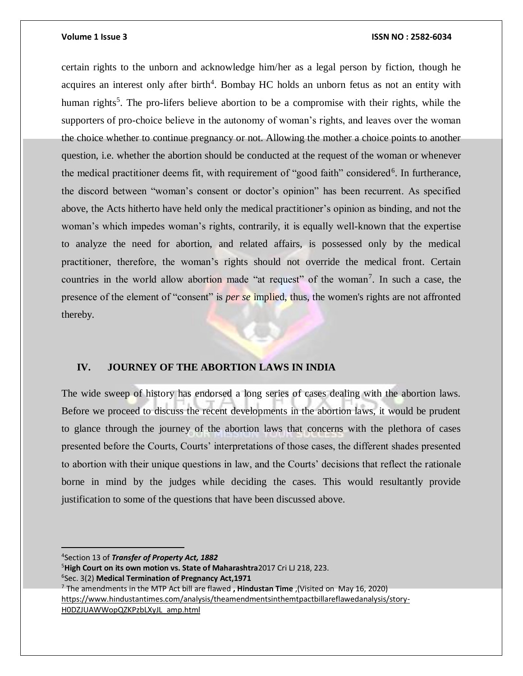$\overline{a}$ 

#### **Volume 1 Issue 3 ISSN NO : 2582-6034**

certain rights to the unborn and acknowledge him/her as a legal person by fiction, though he acquires an interest only after birth<sup>4</sup>. Bombay HC holds an unborn fetus as not an entity with human rights<sup>5</sup>. The pro-lifers believe abortion to be a compromise with their rights, while the supporters of pro-choice believe in the autonomy of woman's rights, and leaves over the woman the choice whether to continue pregnancy or not. Allowing the mother a choice points to another question, i.e. whether the abortion should be conducted at the request of the woman or whenever the medical practitioner deems fit, with requirement of "good faith" considered<sup>6</sup>. In furtherance, the discord between "woman's consent or doctor's opinion" has been recurrent. As specified above, the Acts hitherto have held only the medical practitioner's opinion as binding, and not the woman's which impedes woman's rights, contrarily, it is equally well-known that the expertise to analyze the need for abortion, and related affairs, is possessed only by the medical practitioner, therefore, the woman's rights should not override the medical front. Certain countries in the world allow abortion made "at request" of the woman<sup>7</sup>. In such a case, the presence of the element of "consent" is *per se* implied, thus, the women's rights are not affronted thereby.

#### **IV. JOURNEY OF THE ABORTION LAWS IN INDIA**

The wide sweep of history has endorsed a long series of cases dealing with the abortion laws. Before we proceed to discuss the recent developments in the abortion laws, it would be prudent to glance through the journey of the abortion laws that concerns with the plethora of cases presented before the Courts, Courts' interpretations of those cases, the different shades presented to abortion with their unique questions in law, and the Courts' decisions that reflect the rationale borne in mind by the judges while deciding the cases. This would resultantly provide justification to some of the questions that have been discussed above.

 Section 13 of *Transfer of Property Act, 1882* **High Court on its own motion vs. State of Maharashtra**2017 Cri LJ 218, 223. Sec. 3(2) **Medical Termination of Pregnancy Act,1971**  The amendments in the MTP Act bill are flawed **, Hindustan Time** ,(Visited on May 16, 2020) [https://www.hindustantimes.com/analysis/theamendmentsinthemtpactbillareflawedanalysis/story-](https://www.hindustantimes.com/analysis/theamendmentsinthemtpactbillareflawedanalysis/story-H0DZJUAWWopQZKPzbLXyJL_amp.html)[H0DZJUAWWopQZKPzbLXyJL\\_amp.html](https://www.hindustantimes.com/analysis/theamendmentsinthemtpactbillareflawedanalysis/story-H0DZJUAWWopQZKPzbLXyJL_amp.html)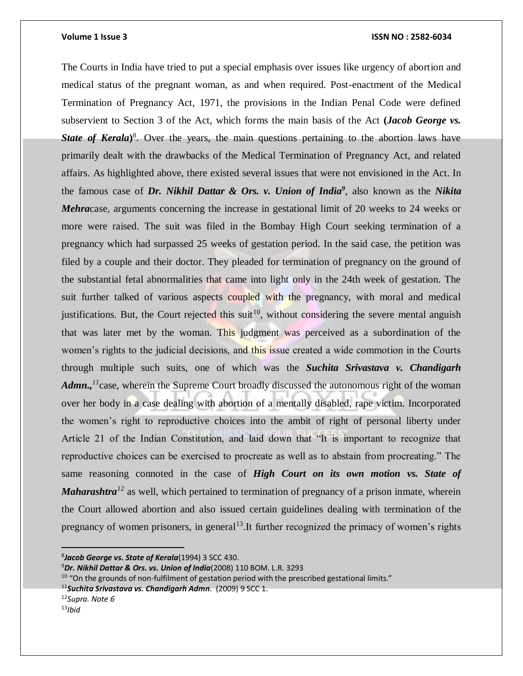The Courts in India have tried to put a special emphasis over issues like urgency of abortion and medical status of the pregnant woman, as and when required. Post-enactment of the Medical Termination of Pregnancy Act, 1971, the provisions in the Indian Penal Code were defined subservient to Section 3 of the Act, which forms the main basis of the Act **(***Jacob George vs.*  **State of Kerala)<sup>8</sup>**. Over the years, the main questions pertaining to the abortion laws have primarily dealt with the drawbacks of the Medical Termination of Pregnancy Act, and related affairs. As highlighted above, there existed several issues that were not envisioned in the Act. In the famous case of *Dr. Nikhil Dattar & Ors. v. Union of India<sup>9</sup>* , also known as the *Nikita Mehra*case, arguments concerning the increase in gestational limit of 20 weeks to 24 weeks or more were raised. The suit was filed in the Bombay High Court seeking termination of a pregnancy which had surpassed 25 weeks of gestation period. In the said case, the petition was filed by a couple and their doctor. They pleaded for termination of pregnancy on the ground of the substantial fetal abnormalities that came into light only in the 24th week of gestation. The suit further talked of various aspects coupled with the pregnancy, with moral and medical justifications. But, the Court rejected this suit<sup>10</sup>, without considering the severe mental anguish that was later met by the woman. This judgment was perceived as a subordination of the women's rights to the judicial decisions, and this issue created a wide commotion in the Courts through multiple such suits, one of which was the *Suchita Srivastava v. Chandigarh*  Admn.,<sup>11</sup>case, wherein the Supreme Court broadly discussed the autonomous right of the woman over her body in a case dealing with abortion of a mentally disabled, rape victim. Incorporated the women's right to reproductive choices into the ambit of right of personal liberty under Article 21 of the Indian Constitution, and laid down that "It is important to recognize that reproductive choices can be exercised to procreate as well as to abstain from procreating." The same reasoning connoted in the case of *High Court on its own motion vs. State of Maharashtra*<sup>12</sup> as well, which pertained to termination of pregnancy of a prison inmate, wherein the Court allowed abortion and also issued certain guidelines dealing with termination of the pregnancy of women prisoners, in general<sup>13</sup>. It further recognized the primacy of women's rights

13*Ibid*

 $\overline{a}$ 

<sup>8</sup> *Jacob George vs. State of Kerala*(1994) 3 SCC 430.

<sup>9</sup>*Dr. Nikhil Dattar & Ors. vs. Union of India*(2008) 110 BOM. L.R. 3293

 $10$  "On the grounds of non-fulfilment of gestation period with the prescribed gestational limits."

<sup>11</sup>*Suchita Srivastava vs. Chandigarh Admn.* (2009) 9 SCC 1.

<sup>12</sup>*Supra. Note 6*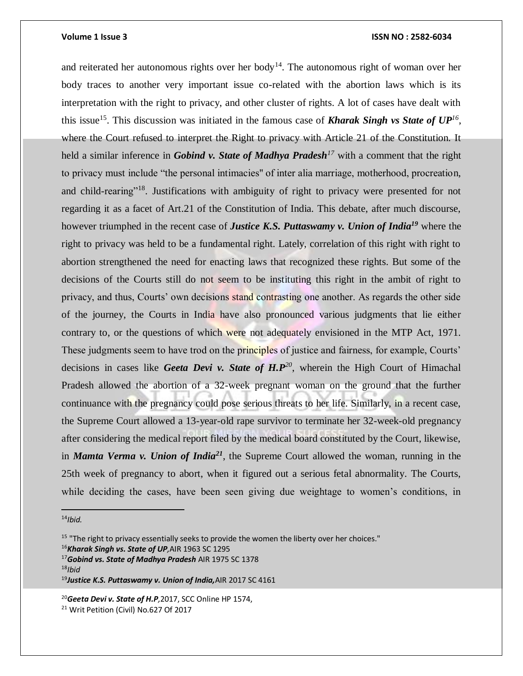and reiterated her autonomous rights over her body<sup>14</sup>. The autonomous right of woman over her body traces to another very important issue co-related with the abortion laws which is its interpretation with the right to privacy, and other cluster of rights. A lot of cases have dealt with this issue<sup>15</sup>. This discussion was initiated in the famous case of **Kharak Singh vs State of**  $UP^{16}$ , where the Court refused to interpret the Right to privacy with Article 21 of the Constitution. It held a similar inference in *Gobind v. State of Madhya Pradesh<sup>17</sup>* with a comment that the right to privacy must include "the personal intimacies'' of inter alia marriage, motherhood, procreation, and child-rearing<sup>"18</sup>. Justifications with ambiguity of right to privacy were presented for not regarding it as a facet of Art.21 of the Constitution of India. This debate, after much discourse, however triumphed in the recent case of *Justice K.S. Puttaswamy v. Union of India<sup>19</sup>* where the right to privacy was held to be a fundamental right. Lately, correlation of this right with right to abortion strengthened the need for enacting laws that recognized these rights. But some of the decisions of the Courts still do not seem to be instituting this right in the ambit of right to privacy, and thus, Courts' own decisions stand contrasting one another. As regards the other side of the journey, the Courts in India have also pronounced various judgments that lie either contrary to, or the questions of which were not adequately envisioned in the MTP Act, 1971. These judgments seem to have trod on the principles of justice and fairness, for example, Courts' decisions in cases like *Geeta Devi v. State of H.P<sup>20</sup>*, wherein the High Court of Himachal Pradesh allowed the abortion of a 32-week pregnant woman on the ground that the further continuance with the pregnancy could pose serious threats to her life. Similarly, in a recent case, the Supreme Court allowed a 13-year-old rape survivor to terminate her 32-week-old pregnancy after considering the medical report filed by the medical board constituted by the Court, likewise, in *Mamta Verma v. Union of India<sup>21</sup>*, the Supreme Court allowed the woman, running in the 25th week of pregnancy to abort, when it figured out a serious fetal abnormality. The Courts, while deciding the cases, have been seen giving due weightage to women's conditions, in

<sup>14</sup>*Ibid.*

 $\overline{a}$ 

<sup>18</sup>*Ibid*

<sup>&</sup>lt;sup>15</sup> "The right to privacy essentially seeks to provide the women the liberty over her choices." <sup>16</sup>*Kharak Singh vs. State of UP,*AIR 1963 SC 1295

<sup>17</sup>*Gobind vs. State of Madhya Pradesh* AIR 1975 SC 1378

<sup>19</sup>*Justice K.S. Puttaswamy v. Union of India,*AIR 2017 SC 4161

<sup>20</sup>*Geeta Devi v. State of H.P,*2017, SCC Online HP 1574, <sup>21</sup> Writ Petition (Civil) No.627 Of 2017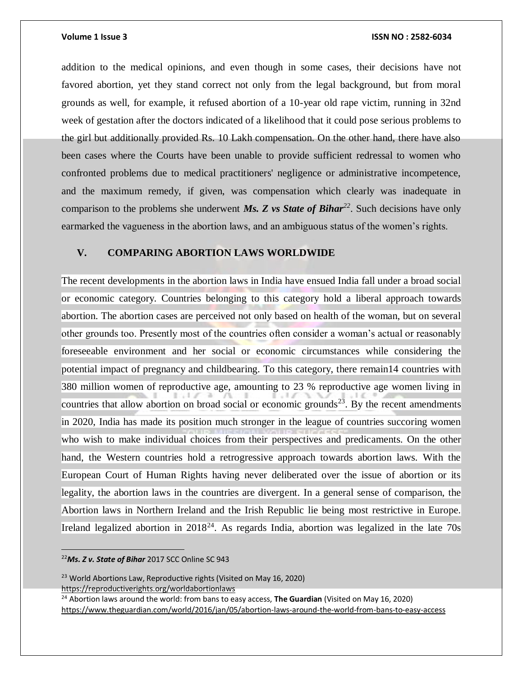addition to the medical opinions, and even though in some cases, their decisions have not favored abortion, yet they stand correct not only from the legal background, but from moral grounds as well, for example, it refused abortion of a 10-year old rape victim, running in 32nd week of gestation after the doctors indicated of a likelihood that it could pose serious problems to the girl but additionally provided Rs. 10 Lakh compensation. On the other hand, there have also been cases where the Courts have been unable to provide sufficient redressal to women who confronted problems due to medical practitioners' negligence or administrative incompetence, and the maximum remedy, if given, was compensation which clearly was inadequate in comparison to the problems she underwent *Ms. Z vs State of Bihar<sup>22</sup>*. Such decisions have only earmarked the vagueness in the abortion laws, and an ambiguous status of the women's rights.

#### **V. COMPARING ABORTION LAWS WORLDWIDE**

The recent developments in the abortion laws in India have ensued India fall under a broad social or economic category. Countries belonging to this category hold a liberal approach towards abortion. The abortion cases are perceived not only based on health of the woman, but on several other grounds too. Presently most of the countries often consider a woman's actual or reasonably foreseeable environment and her social or economic circumstances while considering the potential impact of pregnancy and childbearing. To this category, there remain14 countries with 380 million women of reproductive age, amounting to 23 % reproductive age women living in countries that allow abortion on broad social or economic grounds<sup>23</sup>. By the recent amendments in 2020, India has made its position much stronger in the league of countries succoring women who wish to make individual choices from their perspectives and predicaments. On the other hand, the Western countries hold a retrogressive approach towards abortion laws. With the European Court of Human Rights having never deliberated over the issue of abortion or its legality, the abortion laws in the countries are divergent. In a general sense of comparison, the Abortion laws in Northern Ireland and the Irish Republic lie being most restrictive in Europe. Ireland legalized abortion in  $2018^{24}$ . As regards India, abortion was legalized in the late 70s

<sup>22</sup>*Ms. Z v. State of Bihar* 2017 SCC Online SC 943

 $\overline{a}$ 

<sup>23</sup> World Abortions Law, Reproductive rights (Visited on May 16, 2020) <https://reproductiverights.org/worldabortionlaws>

<sup>24</sup> Abortion laws around the world: from bans to easy access, **The Guardian** (Visited on May 16, 2020) <https://www.theguardian.com/world/2016/jan/05/abortion-laws-around-the-world-from-bans-to-easy-access>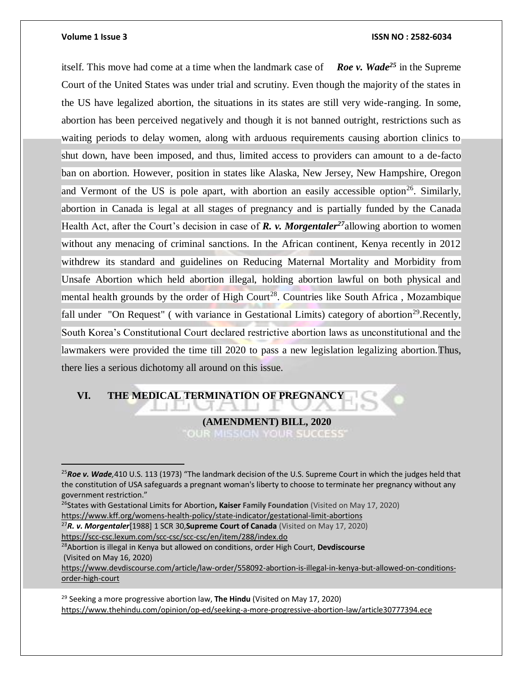$\overline{a}$ 

#### **Volume 1 Issue 3 ISSN NO : 2582-6034**

itself. This move had come at a time when the landmark case of *Roe v. Wade<sup>25</sup>* in the Supreme Court of the United States was under trial and scrutiny. Even though the majority of the states in the US have legalized abortion, the situations in its states are still very wide-ranging. In some, abortion has been perceived negatively and though it is not banned outright, restrictions such as waiting periods to delay women, along with arduous requirements causing abortion clinics to shut down, have been imposed, and thus, limited access to providers can amount to a de-facto ban on abortion. However, position in states like Alaska, New Jersey, New Hampshire, Oregon and Vermont of the US is pole apart, with abortion an easily accessible option<sup>26</sup>. Similarly, abortion in Canada is legal at all stages of pregnancy and is partially funded by the Canada Health Act, after the Court's decision in case of **R.** v. Morgentaler<sup>27</sup> allowing abortion to women without any menacing of criminal sanctions. In the African continent, Kenya recently in 2012 withdrew its standard and guidelines on Reducing Maternal Mortality and Morbidity from Unsafe Abortion which held abortion illegal, holding abortion lawful on both physical and mental health grounds by the order of High Court<sup>28</sup>. Countries like South Africa, Mozambique fall under "On Request" (with variance in Gestational Limits) category of abortion<sup>29</sup>. Recently, South Korea's Constitutional Court declared restrictive abortion laws as unconstitutional and the lawmakers were provided the time till 2020 to pass a new legislation legalizing abortion. Thus, there lies a serious dichotomy all around on this issue.

### **VI. THE MEDICAL TERMINATION OF PREGNANCY**

 **(AMENDMENT) BILL, 2020** OUR MISSION YOUR SUCCESS'

- <sup>27</sup>*R. v. Morgentaler*[1988] 1 SCR 30,**Supreme Court of Canada** (Visited on May 17, 2020)
- <https://scc-csc.lexum.com/scc-csc/scc-csc/en/item/288/index.do>

<sup>28</sup>Abortion is illegal in Kenya but allowed on conditions, order High Court, **Devdiscourse** (Visited on May 16, 2020)

[https://www.devdiscourse.com/article/law-order/558092-abortion-is-illegal-in-kenya-but-allowed-on-conditions](https://www.devdiscourse.com/article/law-order/558092-abortion-is-illegal-in-kenya-but-allowed-on-conditions-order-high-court)[order-high-court](https://www.devdiscourse.com/article/law-order/558092-abortion-is-illegal-in-kenya-but-allowed-on-conditions-order-high-court)

<sup>29</sup> Seeking a more progressive abortion law, **The Hindu** (Visited on May 17, 2020) <https://www.thehindu.com/opinion/op-ed/seeking-a-more-progressive-abortion-law/article30777394.ece>

<sup>25</sup>*Roe v. Wade,*410 U.S. 113 (1973) "The landmark decision of the U.S. Supreme Court in which the judges held that the constitution of USA safeguards a pregnant woman's liberty to choose to terminate her pregnancy without any government restriction."

<sup>26</sup>States with Gestational Limits for Abortion**, Kaiser Family Foundation** (Visited on May 17, 2020) <https://www.kff.org/womens-health-policy/state-indicator/gestational-limit-abortions>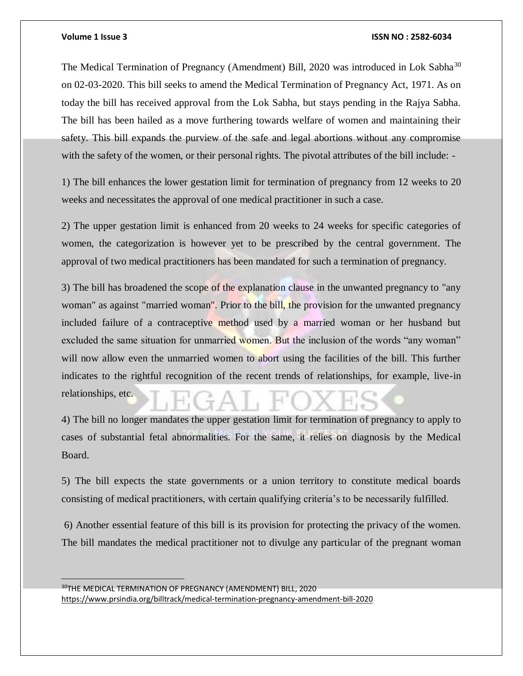#### **Volume 1 Issue 3 ISSN NO : 2582-6034**

The Medical Termination of Pregnancy (Amendment) Bill, 2020 was introduced in Lok Sabha<sup>30</sup> on 02-03-2020. This bill seeks to amend the Medical Termination of Pregnancy Act, 1971. As on today the bill has received approval from the Lok Sabha, but stays pending in the Rajya Sabha. The bill has been hailed as a move furthering towards welfare of women and maintaining their safety. This bill expands the purview of the safe and legal abortions without any compromise with the safety of the women, or their personal rights. The pivotal attributes of the bill include: -

1) The bill enhances the lower gestation limit for termination of pregnancy from 12 weeks to 20 weeks and necessitates the approval of one medical practitioner in such a case.

2) The upper gestation limit is enhanced from 20 weeks to 24 weeks for specific categories of women, the categorization is however yet to be prescribed by the central government. The approval of two medical practitioners has been mandated for such a termination of pregnancy.

3) The bill has broadened the scope of the explanation clause in the unwanted pregnancy to "any woman" as against "married woman". Prior to the bill, the provision for the unwanted pregnancy included failure of a contraceptive method used by a married woman or her husband but excluded the same situation for unmarried women. But the inclusion of the words "any woman" will now allow even the unmarried women to abort using the facilities of the bill. This further indicates to the rightful recognition of the recent trends of relationships, for example, live-in relationships, etc.

4) The bill no longer mandates the upper gestation limit for termination of pregnancy to apply to cases of substantial fetal abnormalities. For the same, it relies on diagnosis by the Medical Board.

5) The bill expects the state governments or a union territory to constitute medical boards consisting of medical practitioners, with certain qualifying criteria's to be necessarily fulfilled.

6) Another essential feature of this bill is its provision for protecting the privacy of the women. The bill mandates the medical practitioner not to divulge any particular of the pregnant woman

<sup>30</sup>THE MEDICAL TERMINATION OF PREGNANCY (AMENDMENT) BILL, 2020 <https://www.prsindia.org/billtrack/medical-termination-pregnancy-amendment-bill-2020>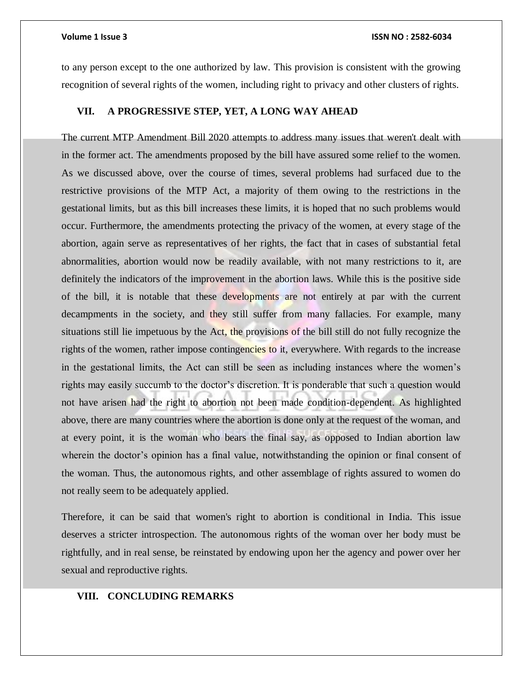to any person except to the one authorized by law. This provision is consistent with the growing recognition of several rights of the women, including right to privacy and other clusters of rights.

#### **VII. A PROGRESSIVE STEP, YET, A LONG WAY AHEAD**

The current MTP Amendment Bill 2020 attempts to address many issues that weren't dealt with in the former act. The amendments proposed by the bill have assured some relief to the women. As we discussed above, over the course of times, several problems had surfaced due to the restrictive provisions of the MTP Act, a majority of them owing to the restrictions in the gestational limits, but as this bill increases these limits, it is hoped that no such problems would occur. Furthermore, the amendments protecting the privacy of the women, at every stage of the abortion, again serve as representatives of her rights, the fact that in cases of substantial fetal abnormalities, abortion would now be readily available, with not many restrictions to it, are definitely the indicators of the improvement in the abortion laws. While this is the positive side of the bill, it is notable that these developments are not entirely at par with the current decampments in the society, and they still suffer from many fallacies. For example, many situations still lie impetuous by the Act, the provisions of the bill still do not fully recognize the rights of the women, rather impose contingencies to it, everywhere. With regards to the increase in the gestational limits, the Act can still be seen as including instances where the women's rights may easily succumb to the doctor's discretion. It is ponderable that such a question would not have arisen had the right to abortion not been made condition-dependent. As highlighted above, there are many countries where the abortion is done only at the request of the woman, and at every point, it is the woman who bears the final say, as opposed to Indian abortion law wherein the doctor's opinion has a final value, notwithstanding the opinion or final consent of the woman. Thus, the autonomous rights, and other assemblage of rights assured to women do not really seem to be adequately applied.

Therefore, it can be said that women's right to abortion is conditional in India. This issue deserves a stricter introspection. The autonomous rights of the woman over her body must be rightfully, and in real sense, be reinstated by endowing upon her the agency and power over her sexual and reproductive rights.

#### **VIII. CONCLUDING REMARKS**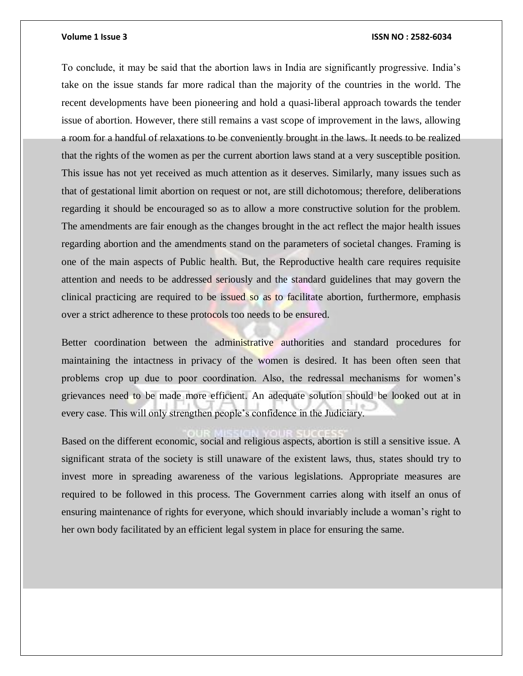To conclude, it may be said that the abortion laws in India are significantly progressive. India's take on the issue stands far more radical than the majority of the countries in the world. The recent developments have been pioneering and hold a quasi-liberal approach towards the tender issue of abortion. However, there still remains a vast scope of improvement in the laws, allowing a room for a handful of relaxations to be conveniently brought in the laws. It needs to be realized that the rights of the women as per the current abortion laws stand at a very susceptible position. This issue has not yet received as much attention as it deserves. Similarly, many issues such as that of gestational limit abortion on request or not, are still dichotomous; therefore, deliberations regarding it should be encouraged so as to allow a more constructive solution for the problem. The amendments are fair enough as the changes brought in the act reflect the major health issues regarding abortion and the amendments stand on the parameters of societal changes. Framing is one of the main aspects of Public health. But, the Reproductive health care requires requisite attention and needs to be addressed seriously and the standard guidelines that may govern the clinical practicing are required to be issued so as to facilitate abortion, furthermore, emphasis over a strict adherence to these protocols too needs to be ensured.

Better coordination between the administrative authorities and standard procedures for maintaining the intactness in privacy of the women is desired. It has been often seen that problems crop up due to poor coordination. Also, the redressal mechanisms for women's grievances need to be made more efficient. An adequate solution should be looked out at in every case. This will only strengthen people's confidence in the Judiciary.

Based on the different economic, social and religious aspects, abortion is still a sensitive issue. A significant strata of the society is still unaware of the existent laws, thus, states should try to invest more in spreading awareness of the various legislations. Appropriate measures are required to be followed in this process. The Government carries along with itself an onus of ensuring maintenance of rights for everyone, which should invariably include a woman's right to her own body facilitated by an efficient legal system in place for ensuring the same.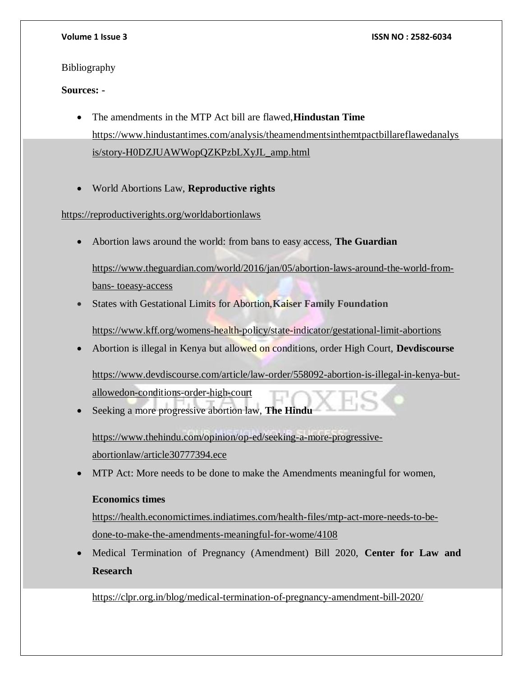### Bibliography

### **Sources: -**

- The amendments in the MTP Act bill are flawed,**Hindustan Time** [https://www.hindustantimes.com/analysis/theamendmentsinthemtpactbillareflawedanalys](https://www.hindustantimes.com/analysis/theamendmentsinthemtpactbillareflawedanalysis/story-H0DZJUAWWopQZKPzbLXyJL_amp.html) [is/story-H0DZJUAWWopQZKPzbLXyJL\\_amp.html](https://www.hindustantimes.com/analysis/theamendmentsinthemtpactbillareflawedanalysis/story-H0DZJUAWWopQZKPzbLXyJL_amp.html)
- World Abortions Law, **Reproductive rights**

### <https://reproductiverights.org/worldabortionlaws>

Abortion laws around the world: from bans to easy access, **The Guardian**

[https://www.theguardian.com/world/2016/jan/05/abortion-laws-around-the-world-from](https://www.theguardian.com/world/2016/jan/05/abortion-laws-around-the-world-from-bans-%20toeasy-access)bans- [toeasy-access](https://www.theguardian.com/world/2016/jan/05/abortion-laws-around-the-world-from-bans-%20toeasy-access)

States with Gestational Limits for Abortion,**Kaiser Family Foundation**

<https://www.kff.org/womens-health-policy/state-indicator/gestational-limit-abortions>

Abortion is illegal in Kenya but allowed on conditions, order High Court, **Devdiscourse**

[https://www.devdiscourse.com/article/law-order/558092-abortion-is-illegal-in-kenya-but](https://www.devdiscourse.com/article/law-order/558092-abortion-is-illegal-in-kenya-but-allowedon-conditions-order-high-court)[allowedon-conditions-order-high-court](https://www.devdiscourse.com/article/law-order/558092-abortion-is-illegal-in-kenya-but-allowedon-conditions-order-high-court)

Seeking a more progressive abortion law, **The Hindu**

[https://www.thehindu.com/opinion/op-ed/seeking-a-more-progressive](https://www.thehindu.com/opinion/op-ed/seeking-a-more-progressive-abortionlaw/article30777394.ece)[abortionlaw/article30777394.ece](https://www.thehindu.com/opinion/op-ed/seeking-a-more-progressive-abortionlaw/article30777394.ece)

MTP Act: More needs to be done to make the Amendments meaningful for women,

### **Economics times**

[https://health.economictimes.indiatimes.com/health-files/mtp-act-more-needs-to-be](https://health.economictimes.indiatimes.com/health-files/mtp-act-more-needs-to-be-done-to-make-the-amendments-meaningful-for-wome/4108)[done-to-make-the-amendments-meaningful-for-wome/4108](https://health.economictimes.indiatimes.com/health-files/mtp-act-more-needs-to-be-done-to-make-the-amendments-meaningful-for-wome/4108)

 Medical Termination of Pregnancy (Amendment) Bill 2020, **Center for Law and Research**

<https://clpr.org.in/blog/medical-termination-of-pregnancy-amendment-bill-2020/>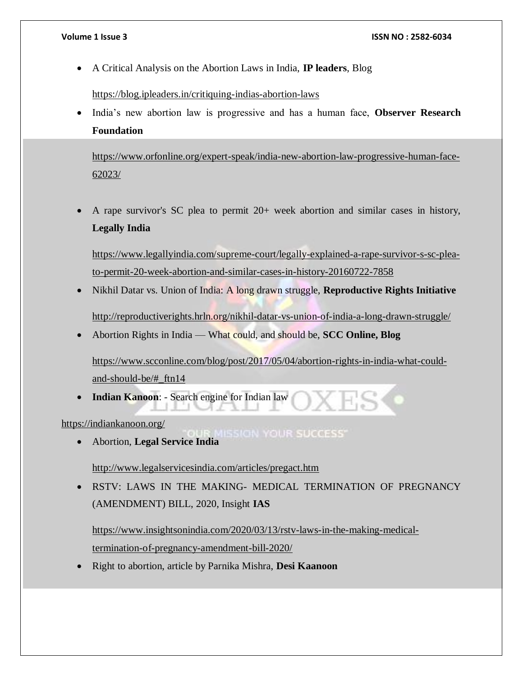A Critical Analysis on the Abortion Laws in India, **IP leaders**, Blog

<https://blog.ipleaders.in/critiquing-indias-abortion-laws>

 India's new abortion law is progressive and has a human face, **Observer Research Foundation**

[https://www.orfonline.org/expert-speak/india-new-abortion-law-progressive-human-face-](https://www.orfonline.org/expert-speak/india-new-abortion-law-progressive-human-face-62023/)[62023/](https://www.orfonline.org/expert-speak/india-new-abortion-law-progressive-human-face-62023/)

 A rape survivor's SC plea to permit 20+ week abortion and similar cases in history, **Legally India**

[https://www.legallyindia.com/supreme-court/legally-explained-a-rape-survivor-s-sc-plea](https://www.legallyindia.com/supreme-court/legally-explained-a-rape-survivor-s-sc-plea-to-permit-20-week-abortion-and-similar-cases-in-history-20160722-7858)[to-permit-20-week-abortion-and-similar-cases-in-history-20160722-7858](https://www.legallyindia.com/supreme-court/legally-explained-a-rape-survivor-s-sc-plea-to-permit-20-week-abortion-and-similar-cases-in-history-20160722-7858)

Nikhil Datar vs. Union of India: A long drawn struggle, **Reproductive Rights Initiative**

<http://reproductiverights.hrln.org/nikhil-datar-vs-union-of-india-a-long-drawn-struggle/>

Abortion Rights in India — What could, and should be, **SCC Online, Blog** 

[https://www.scconline.com/blog/post/2017/05/04/abortion-rights-in-india-what-could](https://www.scconline.com/blog/post/2017/05/04/abortion-rights-in-india-what-could-and-should-be/#_ftn14)[and-should-be/#\\_ftn14](https://www.scconline.com/blog/post/2017/05/04/abortion-rights-in-india-what-could-and-should-be/#_ftn14)

**Indian Kanoon**: - Search engine for Indian law

<https://indiankanoon.org/>

**IISSION YOUR SUCCESS'** Abortion, **Legal Service India**

<http://www.legalservicesindia.com/articles/pregact.htm>

 RSTV: LAWS IN THE MAKING- MEDICAL TERMINATION OF PREGNANCY (AMENDMENT) BILL, 2020, Insight **IAS** 

[https://www.insightsonindia.com/2020/03/13/rstv-laws-in-the-making-medical](https://www.insightsonindia.com/2020/03/13/rstv-laws-in-the-making-medical-termination-of-pregnancy-amendment-bill-2020/)[termination-of-pregnancy-amendment-bill-2020/](https://www.insightsonindia.com/2020/03/13/rstv-laws-in-the-making-medical-termination-of-pregnancy-amendment-bill-2020/)

Right to abortion, article by Parnika Mishra, **Desi Kaanoon**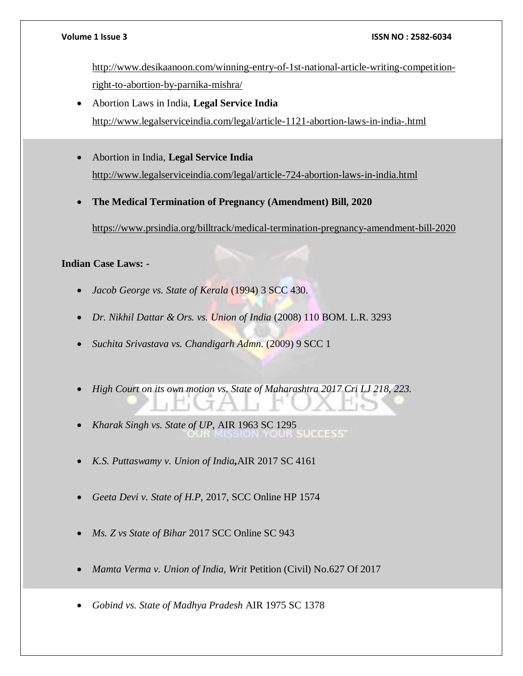[http://www.desikaanoon.com/winning-entry-of-1st-national-article-writing-competition](http://www.desikaanoon.com/winning-entry-of-1st-national-article-writing-competition-right-to-abortion-by-parnika-mishra/)[right-to-abortion-by-parnika-mishra/](http://www.desikaanoon.com/winning-entry-of-1st-national-article-writing-competition-right-to-abortion-by-parnika-mishra/)

- Abortion Laws in India, **Legal Service India**  <http://www.legalserviceindia.com/legal/article-1121-abortion-laws-in-india-.html>
- Abortion in India, **Legal Service India** <http://www.legalserviceindia.com/legal/article-724-abortion-laws-in-india.html>
- **The Medical Termination of Pregnancy (Amendment) Bill, 2020**

<https://www.prsindia.org/billtrack/medical-termination-pregnancy-amendment-bill-2020>

### **Indian Case Laws: -**

- *Jacob George vs. State of Kerala* (1994) 3 SCC 430.
- *Dr. Nikhil Dattar & Ors. vs. Union of India* (2008) 110 BOM. L.R. 3293
- *Suchita Srivastava vs. Chandigarh Admn.* (2009) 9 SCC 1
- *High Court on its own motion vs. State of Maharashtra 2017 Cri LJ 218, 223.*
- *Kharak Singh vs. State of UP,* AIR 1963 SC 1295
- *K.S. Puttaswamy v. Union of India,*AIR 2017 SC 4161
- *Geeta Devi v. State of H.P,* 2017, SCC Online HP 1574
- *Ms. Z vs State of Bihar* 2017 SCC Online SC 943
- *Mamta Verma v. Union of India, Writ* Petition (Civil) No.627 Of 2017
- *Gobind vs. State of Madhya Pradesh* AIR 1975 SC 1378